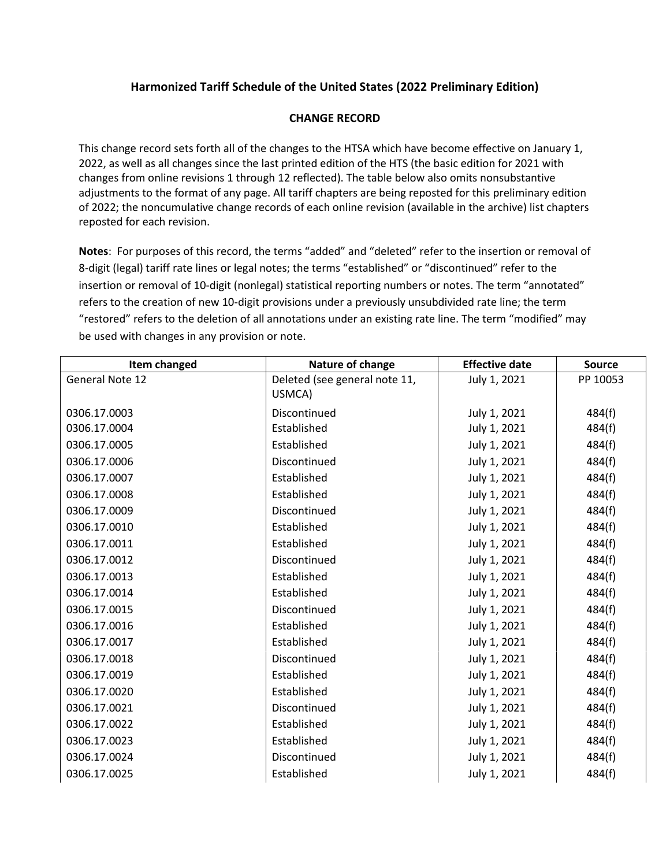## **Harmonized Tariff Schedule of the United States (2022 Preliminary Edition)**

## **CHANGE RECORD**

This change record sets forth all of the changes to the HTSA which have become effective on January 1, 2022, as well as all changes since the last printed edition of the HTS (the basic edition for 2021 with changes from online revisions 1 through 12 reflected). The table below also omits nonsubstantive adjustments to the format of any page. All tariff chapters are being reposted for this preliminary edition of 2022; the noncumulative change records of each online revision (available in the archive) list chapters reposted for each revision.

**Notes**: For purposes of this record, the terms "added" and "deleted" refer to the insertion or removal of 8‐digit (legal) tariff rate lines or legal notes; the terms "established" or "discontinued" refer to the insertion or removal of 10-digit (nonlegal) statistical reporting numbers or notes. The term "annotated" refers to the creation of new 10‐digit provisions under a previously unsubdivided rate line; the term "restored" refers to the deletion of all annotations under an existing rate line. The term "modified" may be used with changes in any provision or note.

| Item changed    | Nature of change              | <b>Effective date</b> | <b>Source</b> |
|-----------------|-------------------------------|-----------------------|---------------|
| General Note 12 | Deleted (see general note 11, | July 1, 2021          | PP 10053      |
|                 | USMCA)                        |                       |               |
| 0306.17.0003    | Discontinued                  | July 1, 2021          | 484(f)        |
| 0306.17.0004    | Established                   | July 1, 2021          | 484(f)        |
| 0306.17.0005    | Established                   | July 1, 2021          | 484(f)        |
| 0306.17.0006    | Discontinued                  | July 1, 2021          | 484(f)        |
| 0306.17.0007    | Established                   | July 1, 2021          | 484(f)        |
| 0306.17.0008    | Established                   | July 1, 2021          | 484(f)        |
| 0306.17.0009    | Discontinued                  | July 1, 2021          | 484(f)        |
| 0306.17.0010    | Established                   | July 1, 2021          | 484(f)        |
| 0306.17.0011    | Established                   | July 1, 2021          | 484(f)        |
| 0306.17.0012    | Discontinued                  | July 1, 2021          | 484(f)        |
| 0306.17.0013    | Established                   | July 1, 2021          | 484(f)        |
| 0306.17.0014    | Established                   | July 1, 2021          | 484(f)        |
| 0306.17.0015    | Discontinued                  | July 1, 2021          | 484(f)        |
| 0306.17.0016    | Established                   | July 1, 2021          | 484(f)        |
| 0306.17.0017    | Established                   | July 1, 2021          | 484(f)        |
| 0306.17.0018    | Discontinued                  | July 1, 2021          | 484(f)        |
| 0306.17.0019    | Established                   | July 1, 2021          | 484(f)        |
| 0306.17.0020    | Established                   | July 1, 2021          | 484(f)        |
| 0306.17.0021    | Discontinued                  | July 1, 2021          | 484(f)        |
| 0306.17.0022    | Established                   | July 1, 2021          | 484(f)        |
| 0306.17.0023    | Established                   | July 1, 2021          | 484(f)        |
| 0306.17.0024    | Discontinued                  | July 1, 2021          | 484(f)        |
| 0306.17.0025    | Established                   | July 1, 2021          | 484(f)        |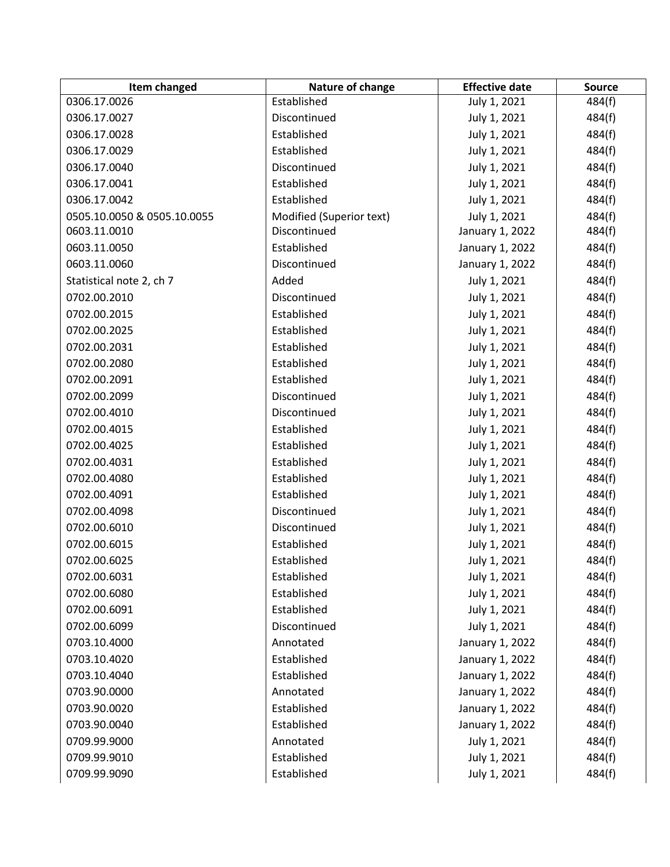| Item changed                | Nature of change         | <b>Effective date</b> | <b>Source</b> |
|-----------------------------|--------------------------|-----------------------|---------------|
| 0306.17.0026                | Established              | July 1, 2021          | 484(f)        |
| 0306.17.0027                | Discontinued             | July 1, 2021          | 484(f)        |
| 0306.17.0028                | Established              | July 1, 2021          | 484(f)        |
| 0306.17.0029                | Established              | July 1, 2021          | 484(f)        |
| 0306.17.0040                | Discontinued             | July 1, 2021          | 484(f)        |
| 0306.17.0041                | Established              | July 1, 2021          | 484(f)        |
| 0306.17.0042                | Established              | July 1, 2021          | 484(f)        |
| 0505.10.0050 & 0505.10.0055 | Modified (Superior text) | July 1, 2021          | 484(f)        |
| 0603.11.0010                | Discontinued             | January 1, 2022       | 484(f)        |
| 0603.11.0050                | Established              | January 1, 2022       | 484(f)        |
| 0603.11.0060                | Discontinued             | January 1, 2022       | 484(f)        |
| Statistical note 2, ch 7    | Added                    | July 1, 2021          | 484(f)        |
| 0702.00.2010                | Discontinued             | July 1, 2021          | 484(f)        |
| 0702.00.2015                | Established              | July 1, 2021          | 484(f)        |
| 0702.00.2025                | Established              | July 1, 2021          | 484(f)        |
| 0702.00.2031                | Established              | July 1, 2021          | 484(f)        |
| 0702.00.2080                | Established              | July 1, 2021          | 484(f)        |
| 0702.00.2091                | Established              | July 1, 2021          | 484(f)        |
| 0702.00.2099                | Discontinued             | July 1, 2021          | 484(f)        |
| 0702.00.4010                | Discontinued             | July 1, 2021          | 484(f)        |
| 0702.00.4015                | Established              | July 1, 2021          | 484(f)        |
| 0702.00.4025                | Established              | July 1, 2021          | 484(f)        |
| 0702.00.4031                | Established              | July 1, 2021          | 484(f)        |
| 0702.00.4080                | Established              | July 1, 2021          | 484(f)        |
| 0702.00.4091                | Established              | July 1, 2021          | 484(f)        |
| 0702.00.4098                | Discontinued             | July 1, 2021          | 484(f)        |
| 0702.00.6010                | Discontinued             | July 1, 2021          | 484(f)        |
| 0702.00.6015                | Established              | July 1, 2021          | 484(f)        |
| 0702.00.6025                | Established              | July 1, 2021          | 484(f)        |
| 0702.00.6031                | Established              | July 1, 2021          | 484(f)        |
| 0702.00.6080                | Established              | July 1, 2021          | 484(f)        |
| 0702.00.6091                | Established              | July 1, 2021          | 484(f)        |
| 0702.00.6099                | Discontinued             | July 1, 2021          | 484(f)        |
| 0703.10.4000                | Annotated                | January 1, 2022       | 484(f)        |
| 0703.10.4020                | Established              | January 1, 2022       | 484(f)        |
| 0703.10.4040                | Established              | January 1, 2022       | 484(f)        |
| 0703.90.0000                | Annotated                | January 1, 2022       | 484(f)        |
| 0703.90.0020                | Established              | January 1, 2022       | 484(f)        |
| 0703.90.0040                | Established              | January 1, 2022       | 484(f)        |
| 0709.99.9000                | Annotated                | July 1, 2021          | 484(f)        |
| 0709.99.9010                | Established              | July 1, 2021          | 484(f)        |
| 0709.99.9090                | Established              | July 1, 2021          | 484(f)        |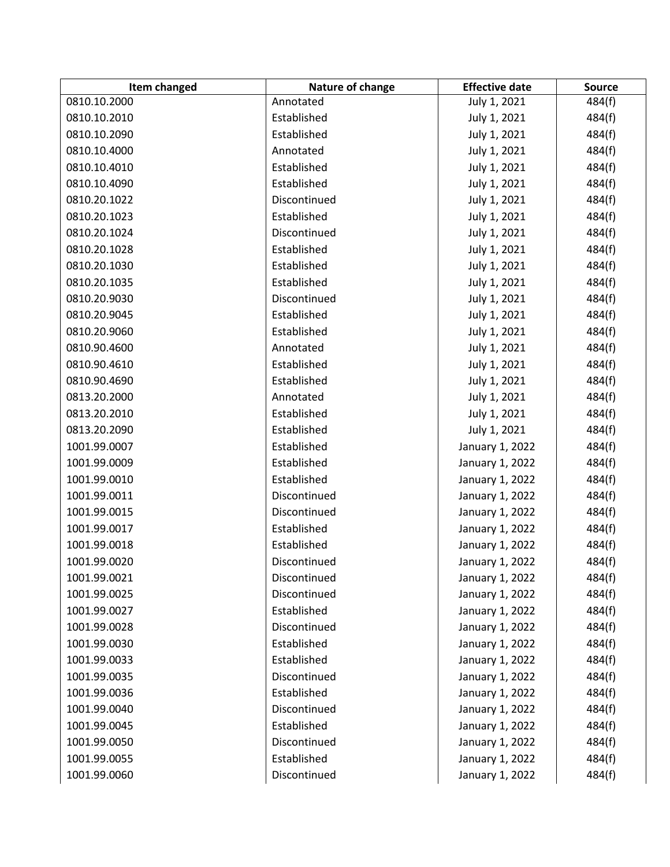| Item changed | Nature of change | <b>Effective date</b> | <b>Source</b> |
|--------------|------------------|-----------------------|---------------|
| 0810.10.2000 | Annotated        | July 1, 2021          | 484(f)        |
| 0810.10.2010 | Established      | July 1, 2021          | 484(f)        |
| 0810.10.2090 | Established      | July 1, 2021          | 484(f)        |
| 0810.10.4000 | Annotated        | July 1, 2021          | 484(f)        |
| 0810.10.4010 | Established      | July 1, 2021          | 484(f)        |
| 0810.10.4090 | Established      | July 1, 2021          | 484(f)        |
| 0810.20.1022 | Discontinued     | July 1, 2021          | 484(f)        |
| 0810.20.1023 | Established      | July 1, 2021          | 484(f)        |
| 0810.20.1024 | Discontinued     | July 1, 2021          | 484(f)        |
| 0810.20.1028 | Established      | July 1, 2021          | 484(f)        |
| 0810.20.1030 | Established      | July 1, 2021          | 484(f)        |
| 0810.20.1035 | Established      | July 1, 2021          | 484(f)        |
| 0810.20.9030 | Discontinued     | July 1, 2021          | 484(f)        |
| 0810.20.9045 | Established      | July 1, 2021          | 484(f)        |
| 0810.20.9060 | Established      | July 1, 2021          | 484(f)        |
| 0810.90.4600 | Annotated        | July 1, 2021          | 484(f)        |
| 0810.90.4610 | Established      | July 1, 2021          | 484(f)        |
| 0810.90.4690 | Established      | July 1, 2021          | 484(f)        |
| 0813.20.2000 | Annotated        | July 1, 2021          | 484(f)        |
| 0813.20.2010 | Established      | July 1, 2021          | 484(f)        |
| 0813.20.2090 | Established      | July 1, 2021          | 484(f)        |
| 1001.99.0007 | Established      | January 1, 2022       | 484(f)        |
| 1001.99.0009 | Established      | January 1, 2022       | 484(f)        |
| 1001.99.0010 | Established      | January 1, 2022       | 484(f)        |
| 1001.99.0011 | Discontinued     | January 1, 2022       | 484(f)        |
| 1001.99.0015 | Discontinued     | January 1, 2022       | 484(f)        |
| 1001.99.0017 | Established      | January 1, 2022       | 484(f)        |
| 1001.99.0018 | Established      | January 1, 2022       | 484(f)        |
| 1001.99.0020 | Discontinued     | January 1, 2022       | 484(f)        |
| 1001.99.0021 | Discontinued     | January 1, 2022       | 484(f)        |
| 1001.99.0025 | Discontinued     | January 1, 2022       | 484(f)        |
| 1001.99.0027 | Established      | January 1, 2022       | 484(f)        |
| 1001.99.0028 | Discontinued     | January 1, 2022       | 484(f)        |
| 1001.99.0030 | Established      | January 1, 2022       | 484(f)        |
| 1001.99.0033 | Established      | January 1, 2022       | 484(f)        |
| 1001.99.0035 | Discontinued     | January 1, 2022       | 484(f)        |
| 1001.99.0036 | Established      | January 1, 2022       | 484(f)        |
| 1001.99.0040 | Discontinued     | January 1, 2022       | 484(f)        |
| 1001.99.0045 | Established      | January 1, 2022       | 484(f)        |
| 1001.99.0050 | Discontinued     | January 1, 2022       | 484(f)        |
| 1001.99.0055 | Established      | January 1, 2022       | 484(f)        |
| 1001.99.0060 | Discontinued     | January 1, 2022       | 484(f)        |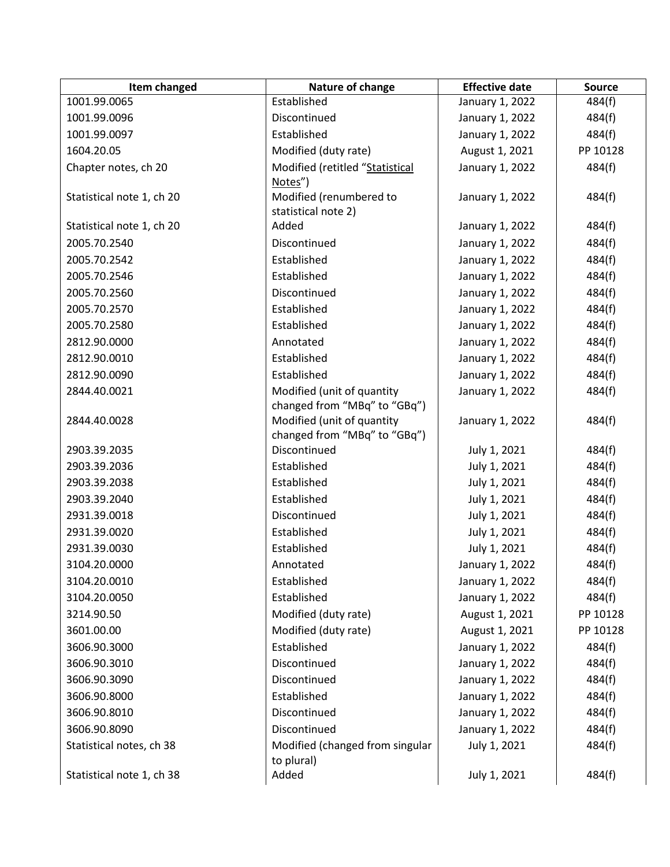| Item changed              | Nature of change                             | <b>Effective date</b> | <b>Source</b> |
|---------------------------|----------------------------------------------|-----------------------|---------------|
| 1001.99.0065              | Established                                  | January 1, 2022       | 484(f)        |
| 1001.99.0096              | Discontinued                                 | January 1, 2022       | 484(f)        |
| 1001.99.0097              | Established                                  | January 1, 2022       | 484(f)        |
| 1604.20.05                | Modified (duty rate)                         | August 1, 2021        | PP 10128      |
| Chapter notes, ch 20      | Modified (retitled "Statistical              | January 1, 2022       | 484(f)        |
|                           | Notes")                                      |                       |               |
| Statistical note 1, ch 20 | Modified (renumbered to                      | January 1, 2022       | 484(f)        |
|                           | statistical note 2)                          |                       |               |
| Statistical note 1, ch 20 | Added                                        | January 1, 2022       | 484(f)        |
| 2005.70.2540              | Discontinued                                 | January 1, 2022       | 484(f)        |
| 2005.70.2542              | Established                                  | January 1, 2022       | 484(f)        |
| 2005.70.2546              | Established                                  | January 1, 2022       | 484(f)        |
| 2005.70.2560              | Discontinued                                 | January 1, 2022       | 484(f)        |
| 2005.70.2570              | Established                                  | January 1, 2022       | 484(f)        |
| 2005.70.2580              | Established                                  | January 1, 2022       | 484(f)        |
| 2812.90.0000              | Annotated                                    | January 1, 2022       | 484(f)        |
| 2812.90.0010              | Established                                  | January 1, 2022       | 484(f)        |
| 2812.90.0090              | Established                                  | January 1, 2022       | 484(f)        |
| 2844.40.0021              | Modified (unit of quantity                   | January 1, 2022       | 484(f)        |
|                           | changed from "MBq" to "GBq")                 |                       |               |
| 2844.40.0028              | Modified (unit of quantity                   | January 1, 2022       | 484(f)        |
| 2903.39.2035              | changed from "MBq" to "GBq")<br>Discontinued |                       |               |
|                           |                                              | July 1, 2021          | 484(f)        |
| 2903.39.2036              | Established                                  | July 1, 2021          | 484(f)        |
| 2903.39.2038              | Established                                  | July 1, 2021          | 484(f)        |
| 2903.39.2040              | Established                                  | July 1, 2021          | 484(f)        |
| 2931.39.0018              | Discontinued                                 | July 1, 2021          | 484(f)        |
| 2931.39.0020              | Established                                  | July 1, 2021          | 484(f)        |
| 2931.39.0030              | Established                                  | July 1, 2021          | 484(f)        |
| 3104.20.0000              | Annotated                                    | January 1, 2022       | 484(f)        |
| 3104.20.0010              | Established                                  | January 1, 2022       | 484(f)        |
| 3104.20.0050              | Established                                  | January 1, 2022       | 484(f)        |
| 3214.90.50                | Modified (duty rate)                         | August 1, 2021        | PP 10128      |
| 3601.00.00                | Modified (duty rate)                         | August 1, 2021        | PP 10128      |
| 3606.90.3000              | Established                                  | January 1, 2022       | 484(f)        |
| 3606.90.3010              | Discontinued                                 | January 1, 2022       | 484(f)        |
| 3606.90.3090              | Discontinued                                 | January 1, 2022       | 484(f)        |
| 3606.90.8000              | Established                                  | January 1, 2022       | 484(f)        |
| 3606.90.8010              | Discontinued                                 | January 1, 2022       | 484(f)        |
| 3606.90.8090              | Discontinued                                 | January 1, 2022       | 484(f)        |
| Statistical notes, ch 38  | Modified (changed from singular              | July 1, 2021          | 484(f)        |
|                           | to plural)                                   |                       |               |
| Statistical note 1, ch 38 | Added                                        | July 1, 2021          | 484(f)        |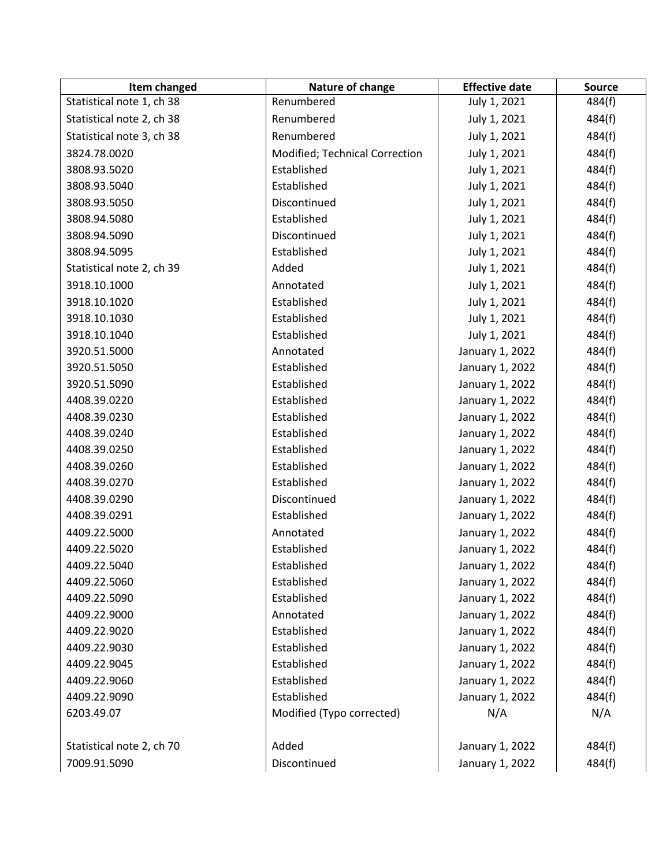| Item changed              | Nature of change               | <b>Effective date</b> | <b>Source</b> |
|---------------------------|--------------------------------|-----------------------|---------------|
| Statistical note 1, ch 38 | Renumbered                     | July 1, 2021          | 484(f)        |
| Statistical note 2, ch 38 | Renumbered                     | July 1, 2021          | 484(f)        |
| Statistical note 3, ch 38 | Renumbered                     | July 1, 2021          | 484(f)        |
| 3824.78.0020              | Modified; Technical Correction | July 1, 2021          | 484(f)        |
| 3808.93.5020              | Established                    | July 1, 2021          | 484(f)        |
| 3808.93.5040              | Established                    | July 1, 2021          | 484(f)        |
| 3808.93.5050              | Discontinued                   | July 1, 2021          | 484(f)        |
| 3808.94.5080              | Established                    | July 1, 2021          | 484(f)        |
| 3808.94.5090              | Discontinued                   | July 1, 2021          | 484(f)        |
| 3808.94.5095              | Established                    | July 1, 2021          | 484(f)        |
| Statistical note 2, ch 39 | Added                          | July 1, 2021          | 484(f)        |
| 3918.10.1000              | Annotated                      | July 1, 2021          | 484(f)        |
| 3918.10.1020              | Established                    | July 1, 2021          | 484(f)        |
| 3918.10.1030              | Established                    | July 1, 2021          | 484(f)        |
| 3918.10.1040              | Established                    | July 1, 2021          | 484(f)        |
| 3920.51.5000              | Annotated                      | January 1, 2022       | 484(f)        |
| 3920.51.5050              | Established                    | January 1, 2022       | 484(f)        |
| 3920.51.5090              | Established                    | January 1, 2022       | 484(f)        |
| 4408.39.0220              | Established                    | January 1, 2022       | 484(f)        |
| 4408.39.0230              | Established                    | January 1, 2022       | 484(f)        |
| 4408.39.0240              | Established                    | January 1, 2022       | 484(f)        |
| 4408.39.0250              | Established                    | January 1, 2022       | 484(f)        |
| 4408.39.0260              | Established                    | January 1, 2022       | 484(f)        |
| 4408.39.0270              | Established                    | January 1, 2022       | 484(f)        |
| 4408.39.0290              | Discontinued                   | January 1, 2022       | 484(f)        |
| 4408.39.0291              | Established                    | January 1, 2022       | 484(f)        |
| 4409.22.5000              | Annotated                      | January 1, 2022       | 484(f)        |
| 4409.22.5020              | Established                    | January 1, 2022       | 484(f)        |
| 4409.22.5040              | Established                    | January 1, 2022       | 484(f)        |
| 4409.22.5060              | Established                    | January 1, 2022       | 484(f)        |
| 4409.22.5090              | Established                    | January 1, 2022       | 484(f)        |
| 4409.22.9000              | Annotated                      | January 1, 2022       | 484(f)        |
| 4409.22.9020              | Established                    | January 1, 2022       | 484(f)        |
| 4409.22.9030              | Established                    | January 1, 2022       | 484(f)        |
| 4409.22.9045              | Established                    | January 1, 2022       | 484(f)        |
| 4409.22.9060              | Established                    | January 1, 2022       | 484(f)        |
| 4409.22.9090              | Established                    | January 1, 2022       | 484(f)        |
| 6203.49.07                | Modified (Typo corrected)      | N/A                   | N/A           |
|                           |                                |                       |               |
| Statistical note 2, ch 70 | Added                          | January 1, 2022       | 484(f)        |
| 7009.91.5090              | Discontinued                   | January 1, 2022       | 484(f)        |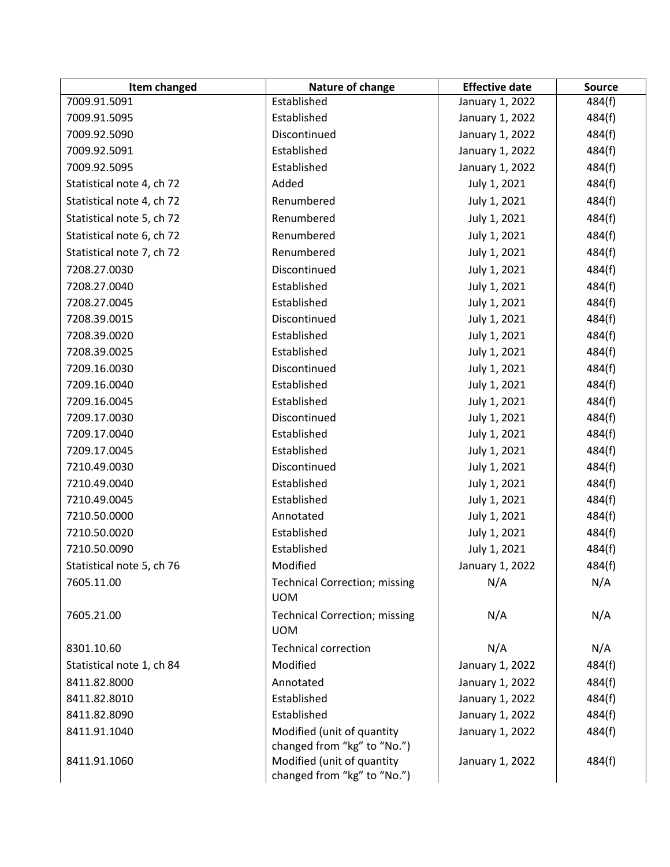| Item changed              | Nature of change                                          | <b>Effective date</b> | <b>Source</b> |
|---------------------------|-----------------------------------------------------------|-----------------------|---------------|
| 7009.91.5091              | Established                                               | January 1, 2022       | 484(f)        |
| 7009.91.5095              | Established                                               | January 1, 2022       | 484(f)        |
| 7009.92.5090              | Discontinued                                              | January 1, 2022       | 484(f)        |
| 7009.92.5091              | Established                                               | January 1, 2022       | 484(f)        |
| 7009.92.5095              | Established                                               | January 1, 2022       | 484(f)        |
| Statistical note 4, ch 72 | Added                                                     | July 1, 2021          | 484(f)        |
| Statistical note 4, ch 72 | Renumbered                                                | July 1, 2021          | 484(f)        |
| Statistical note 5, ch 72 | Renumbered                                                | July 1, 2021          | 484(f)        |
| Statistical note 6, ch 72 | Renumbered                                                | July 1, 2021          | 484(f)        |
| Statistical note 7, ch 72 | Renumbered                                                | July 1, 2021          | 484(f)        |
| 7208.27.0030              | Discontinued                                              | July 1, 2021          | 484(f)        |
| 7208.27.0040              | Established                                               | July 1, 2021          | 484(f)        |
| 7208.27.0045              | Established                                               | July 1, 2021          | 484(f)        |
| 7208.39.0015              | Discontinued                                              | July 1, 2021          | 484(f)        |
| 7208.39.0020              | Established                                               | July 1, 2021          | 484(f)        |
| 7208.39.0025              | Established                                               | July 1, 2021          | 484(f)        |
| 7209.16.0030              | Discontinued                                              | July 1, 2021          | 484(f)        |
| 7209.16.0040              | Established                                               | July 1, 2021          | 484(f)        |
| 7209.16.0045              | Established                                               | July 1, 2021          | 484(f)        |
| 7209.17.0030              | Discontinued                                              | July 1, 2021          | 484(f)        |
| 7209.17.0040              | Established                                               | July 1, 2021          | 484(f)        |
| 7209.17.0045              | Established                                               | July 1, 2021          | 484(f)        |
| 7210.49.0030              | Discontinued                                              | July 1, 2021          | 484(f)        |
| 7210.49.0040              | Established                                               | July 1, 2021          | 484(f)        |
| 7210.49.0045              | Established                                               | July 1, 2021          | 484(f)        |
| 7210.50.0000              | Annotated                                                 | July 1, 2021          | 484(f)        |
| 7210.50.0020              | Established                                               | July 1, 2021          | 484(f)        |
| 7210.50.0090              | Established                                               | July 1, 2021          | 484(f)        |
| Statistical note 5, ch 76 | Modified                                                  | January 1, 2022       | 484(f)        |
| 7605.11.00                | <b>Technical Correction; missing</b><br><b>UOM</b>        | N/A                   | N/A           |
| 7605.21.00                | <b>Technical Correction; missing</b><br><b>UOM</b>        | N/A                   | N/A           |
| 8301.10.60                | <b>Technical correction</b>                               | N/A                   | N/A           |
| Statistical note 1, ch 84 | Modified                                                  | January 1, 2022       | 484(f)        |
| 8411.82.8000              | Annotated                                                 | January 1, 2022       | 484(f)        |
| 8411.82.8010              | Established                                               | January 1, 2022       | 484(f)        |
| 8411.82.8090              | Established                                               | January 1, 2022       | 484(f)        |
| 8411.91.1040              | Modified (unit of quantity                                | January 1, 2022       | 484(f)        |
| 8411.91.1060              | changed from "kg" to "No.")<br>Modified (unit of quantity | January 1, 2022       | 484(f)        |
|                           | changed from "kg" to "No.")                               |                       |               |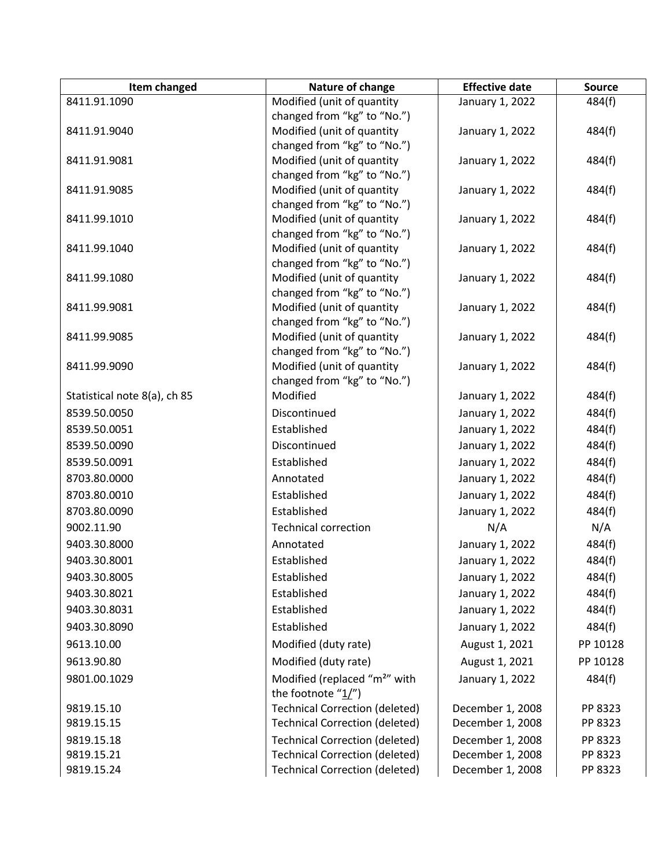| Item changed                 | Nature of change                                          | <b>Effective date</b> | <b>Source</b> |
|------------------------------|-----------------------------------------------------------|-----------------------|---------------|
| 8411.91.1090                 | Modified (unit of quantity                                | January 1, 2022       | 484(f)        |
|                              | changed from "kg" to "No.")                               |                       |               |
| 8411.91.9040                 | Modified (unit of quantity                                | January 1, 2022       | 484(f)        |
|                              | changed from "kg" to "No.")                               |                       |               |
| 8411.91.9081                 | Modified (unit of quantity                                | January 1, 2022       | 484(f)        |
| 8411.91.9085                 | changed from "kg" to "No.")<br>Modified (unit of quantity |                       |               |
|                              | changed from "kg" to "No.")                               | January 1, 2022       | 484(f)        |
| 8411.99.1010                 | Modified (unit of quantity                                | January 1, 2022       | 484(f)        |
|                              | changed from "kg" to "No.")                               |                       |               |
| 8411.99.1040                 | Modified (unit of quantity                                | January 1, 2022       | 484(f)        |
|                              | changed from "kg" to "No.")                               |                       |               |
| 8411.99.1080                 | Modified (unit of quantity                                | January 1, 2022       | 484(f)        |
|                              | changed from "kg" to "No.")                               |                       |               |
| 8411.99.9081                 | Modified (unit of quantity                                | January 1, 2022       | 484(f)        |
|                              | changed from "kg" to "No.")                               |                       |               |
| 8411.99.9085                 | Modified (unit of quantity                                | January 1, 2022       | 484(f)        |
|                              | changed from "kg" to "No.")                               |                       |               |
| 8411.99.9090                 | Modified (unit of quantity<br>changed from "kg" to "No.") | January 1, 2022       | 484(f)        |
| Statistical note 8(a), ch 85 | Modified                                                  | January 1, 2022       | 484(f)        |
| 8539.50.0050                 | Discontinued                                              | January 1, 2022       | 484(f)        |
| 8539.50.0051                 | Established                                               | January 1, 2022       | 484(f)        |
| 8539.50.0090                 | Discontinued                                              | January 1, 2022       | 484(f)        |
| 8539.50.0091                 | Established                                               |                       |               |
|                              |                                                           | January 1, 2022       | 484(f)        |
| 8703.80.0000                 | Annotated                                                 | January 1, 2022       | 484(f)        |
| 8703.80.0010                 | Established                                               | January 1, 2022       | 484(f)        |
| 8703.80.0090                 | Established                                               | January 1, 2022       | 484(f)        |
| 9002.11.90                   | <b>Technical correction</b>                               | N/A                   | N/A           |
| 9403.30.8000                 | Annotated                                                 | January 1, 2022       | 484(f)        |
| 9403.30.8001                 | Established                                               | January 1, 2022       | 484(f)        |
| 9403.30.8005                 | Established                                               | January 1, 2022       | 484(f)        |
| 9403.30.8021                 | Established                                               | January 1, 2022       | 484(f)        |
| 9403.30.8031                 | Established                                               | January 1, 2022       | 484(f)        |
| 9403.30.8090                 | Established                                               | January 1, 2022       | 484(f)        |
| 9613.10.00                   | Modified (duty rate)                                      | August 1, 2021        | PP 10128      |
| 9613.90.80                   | Modified (duty rate)                                      | August 1, 2021        | PP 10128      |
| 9801.00.1029                 | Modified (replaced "m <sup>2</sup> " with                 | January 1, 2022       | 484(f)        |
|                              | the footnote "1/")                                        |                       |               |
| 9819.15.10                   | <b>Technical Correction (deleted)</b>                     | December 1, 2008      | PP 8323       |
| 9819.15.15                   | <b>Technical Correction (deleted)</b>                     | December 1, 2008      | PP 8323       |
| 9819.15.18                   | <b>Technical Correction (deleted)</b>                     | December 1, 2008      | PP 8323       |
| 9819.15.21                   | <b>Technical Correction (deleted)</b>                     | December 1, 2008      | PP 8323       |
| 9819.15.24                   | <b>Technical Correction (deleted)</b>                     | December 1, 2008      | PP 8323       |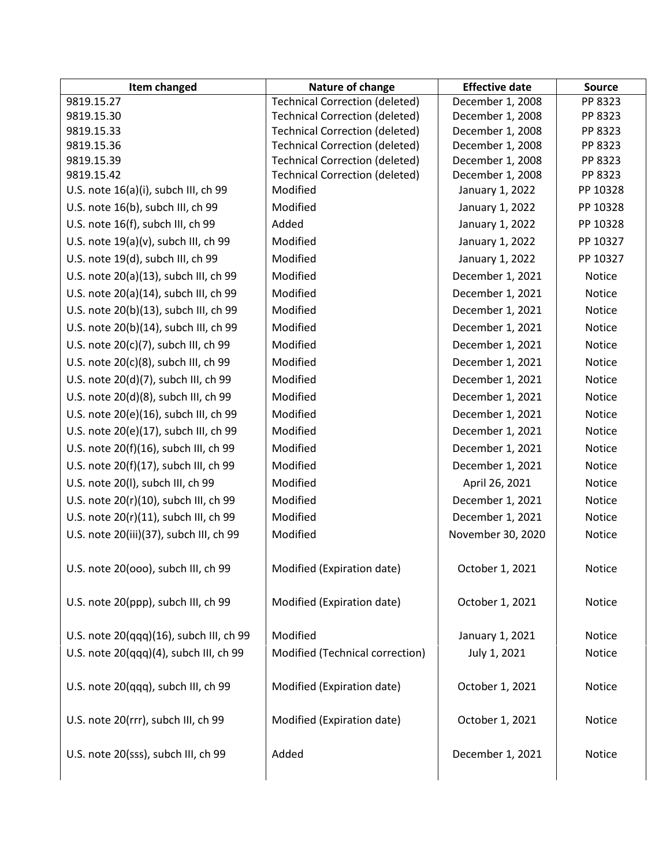| Item changed                            | Nature of change                      | <b>Effective date</b> | <b>Source</b> |
|-----------------------------------------|---------------------------------------|-----------------------|---------------|
| 9819.15.27                              | <b>Technical Correction (deleted)</b> | December 1, 2008      | PP 8323       |
| 9819.15.30                              | <b>Technical Correction (deleted)</b> | December 1, 2008      | PP 8323       |
| 9819.15.33                              | <b>Technical Correction (deleted)</b> | December 1, 2008      | PP 8323       |
| 9819.15.36                              | <b>Technical Correction (deleted)</b> | December 1, 2008      | PP 8323       |
| 9819.15.39                              | <b>Technical Correction (deleted)</b> | December 1, 2008      | PP 8323       |
| 9819.15.42                              | <b>Technical Correction (deleted)</b> | December 1, 2008      | PP 8323       |
| U.S. note 16(a)(i), subch III, ch 99    | Modified                              | January 1, 2022       | PP 10328      |
| U.S. note 16(b), subch III, ch 99       | Modified                              | January 1, 2022       | PP 10328      |
| U.S. note 16(f), subch III, ch 99       | Added                                 | January 1, 2022       | PP 10328      |
| U.S. note $19(a)(v)$ , subch III, ch 99 | Modified                              | January 1, 2022       | PP 10327      |
| U.S. note 19(d), subch III, ch 99       | Modified                              | January 1, 2022       | PP 10327      |
| U.S. note 20(a)(13), subch III, ch 99   | Modified                              | December 1, 2021      | Notice        |
| U.S. note 20(a)(14), subch III, ch 99   | Modified                              | December 1, 2021      | Notice        |
| U.S. note 20(b)(13), subch III, ch 99   | Modified                              | December 1, 2021      | Notice        |
| U.S. note 20(b)(14), subch III, ch 99   | Modified                              | December 1, 2021      | Notice        |
| U.S. note 20(c)(7), subch III, ch 99    | Modified                              | December 1, 2021      | <b>Notice</b> |
| U.S. note 20(c)(8), subch III, ch 99    | Modified                              | December 1, 2021      | Notice        |
| U.S. note 20(d)(7), subch III, ch 99    | Modified                              | December 1, 2021      | Notice        |
| U.S. note 20(d)(8), subch III, ch 99    | Modified                              | December 1, 2021      | Notice        |
|                                         |                                       |                       |               |
| U.S. note 20(e)(16), subch III, ch 99   | Modified                              | December 1, 2021      | Notice        |
| U.S. note 20(e)(17), subch III, ch 99   | Modified                              | December 1, 2021      | Notice        |
| U.S. note 20(f)(16), subch III, ch 99   | Modified                              | December 1, 2021      | Notice        |
| U.S. note 20(f)(17), subch III, ch 99   | Modified                              | December 1, 2021      | Notice        |
| U.S. note 20(I), subch III, ch 99       | Modified                              | April 26, 2021        | Notice        |
| U.S. note 20(r)(10), subch III, ch 99   | Modified                              | December 1, 2021      | Notice        |
| U.S. note 20(r)(11), subch III, ch 99   | Modified                              | December 1, 2021      | Notice        |
| U.S. note 20(iii)(37), subch III, ch 99 | Modified                              | November 30, 2020     | Notice        |
| U.S. note 20(000), subch III, ch 99     | Modified (Expiration date)            | October 1, 2021       | Notice        |
| U.S. note 20(ppp), subch III, ch 99     | Modified (Expiration date)            | October 1, 2021       | Notice        |
| U.S. note 20(qqq)(16), subch III, ch 99 | Modified                              | January 1, 2021       | Notice        |
| U.S. note 20(qqq)(4), subch III, ch 99  | Modified (Technical correction)       | July 1, 2021          | Notice        |
| U.S. note 20(qqq), subch III, ch 99     | Modified (Expiration date)            | October 1, 2021       | Notice        |
| U.S. note 20(rrr), subch III, ch 99     | Modified (Expiration date)            | October 1, 2021       | Notice        |
| U.S. note 20(sss), subch III, ch 99     | Added                                 | December 1, 2021      | Notice        |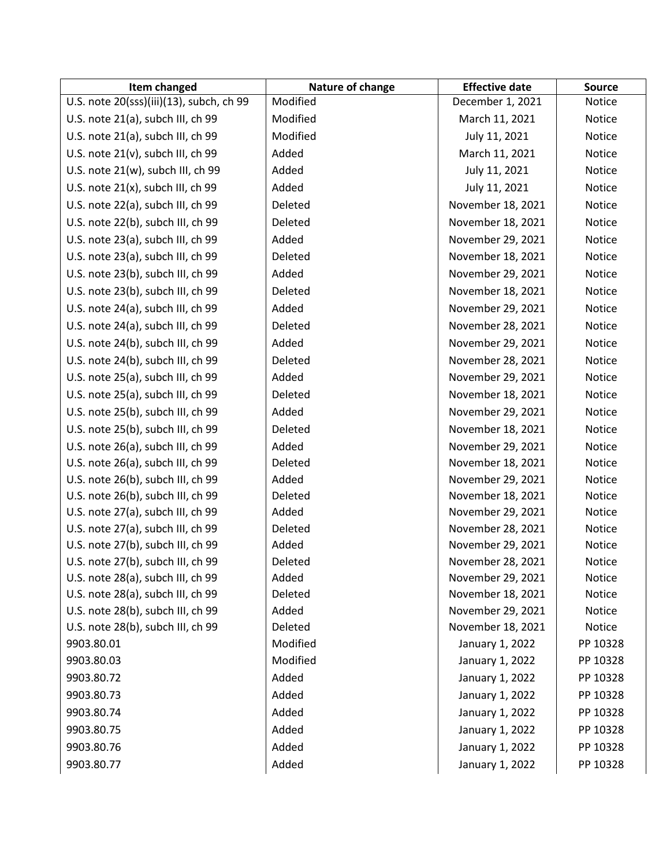| Item changed                             | Nature of change | <b>Effective date</b> | <b>Source</b> |
|------------------------------------------|------------------|-----------------------|---------------|
| U.S. note 20(sss)(iii)(13), subch, ch 99 | Modified         | December 1, 2021      | Notice        |
| U.S. note 21(a), subch III, ch 99        | Modified         | March 11, 2021        | Notice        |
| U.S. note 21(a), subch III, ch 99        | Modified         | July 11, 2021         | Notice        |
| U.S. note 21(v), subch III, ch 99        | Added            | March 11, 2021        | Notice        |
| U.S. note 21(w), subch III, ch 99        | Added            | July 11, 2021         | Notice        |
| U.S. note 21(x), subch III, ch 99        | Added            | July 11, 2021         | Notice        |
| U.S. note 22(a), subch III, ch 99        | Deleted          | November 18, 2021     | <b>Notice</b> |
| U.S. note 22(b), subch III, ch 99        | Deleted          | November 18, 2021     | Notice        |
| U.S. note 23(a), subch III, ch 99        | Added            | November 29, 2021     | Notice        |
| U.S. note 23(a), subch III, ch 99        | Deleted          | November 18, 2021     | Notice        |
| U.S. note 23(b), subch III, ch 99        | Added            | November 29, 2021     | Notice        |
| U.S. note 23(b), subch III, ch 99        | Deleted          | November 18, 2021     | Notice        |
| U.S. note 24(a), subch III, ch 99        | Added            | November 29, 2021     | Notice        |
| U.S. note 24(a), subch III, ch 99        | Deleted          | November 28, 2021     | Notice        |
| U.S. note 24(b), subch III, ch 99        | Added            | November 29, 2021     | <b>Notice</b> |
| U.S. note 24(b), subch III, ch 99        | Deleted          | November 28, 2021     | Notice        |
| U.S. note 25(a), subch III, ch 99        | Added            | November 29, 2021     | Notice        |
| U.S. note 25(a), subch III, ch 99        | Deleted          | November 18, 2021     | <b>Notice</b> |
| U.S. note 25(b), subch III, ch 99        | Added            | November 29, 2021     | Notice        |
| U.S. note 25(b), subch III, ch 99        | Deleted          | November 18, 2021     | <b>Notice</b> |
| U.S. note 26(a), subch III, ch 99        | Added            | November 29, 2021     | Notice        |
| U.S. note 26(a), subch III, ch 99        | Deleted          | November 18, 2021     | Notice        |
| U.S. note 26(b), subch III, ch 99        | Added            | November 29, 2021     | Notice        |
| U.S. note 26(b), subch III, ch 99        | Deleted          | November 18, 2021     | Notice        |
| U.S. note 27(a), subch III, ch 99        | Added            | November 29, 2021     | Notice        |
| U.S. note 27(a), subch III, ch 99        | Deleted          | November 28, 2021     | Notice        |
| U.S. note 27(b), subch III, ch 99        | Added            | November 29, 2021     | Notice        |
| U.S. note 27(b), subch III, ch 99        | Deleted          | November 28, 2021     | Notice        |
| U.S. note 28(a), subch III, ch 99        | Added            | November 29, 2021     | <b>Notice</b> |
| U.S. note 28(a), subch III, ch 99        | Deleted          | November 18, 2021     | <b>Notice</b> |
| U.S. note 28(b), subch III, ch 99        | Added            | November 29, 2021     | Notice        |
| U.S. note 28(b), subch III, ch 99        | Deleted          | November 18, 2021     | Notice        |
| 9903.80.01                               | Modified         | January 1, 2022       | PP 10328      |
| 9903.80.03                               | Modified         | January 1, 2022       | PP 10328      |
| 9903.80.72                               | Added            | January 1, 2022       | PP 10328      |
| 9903.80.73                               | Added            | January 1, 2022       | PP 10328      |
| 9903.80.74                               | Added            | January 1, 2022       | PP 10328      |
| 9903.80.75                               | Added            | January 1, 2022       | PP 10328      |
| 9903.80.76                               | Added            | January 1, 2022       | PP 10328      |
| 9903.80.77                               | Added            | January 1, 2022       | PP 10328      |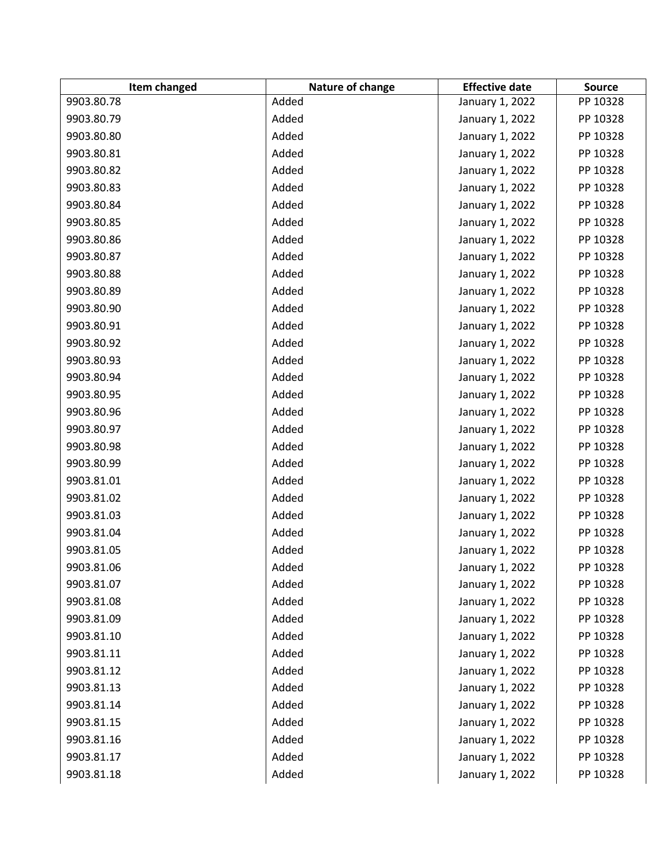| Item changed | Nature of change | <b>Effective date</b> | <b>Source</b> |
|--------------|------------------|-----------------------|---------------|
| 9903.80.78   | Added            | January 1, 2022       | PP 10328      |
| 9903.80.79   | Added            | January 1, 2022       | PP 10328      |
| 9903.80.80   | Added            | January 1, 2022       | PP 10328      |
| 9903.80.81   | Added            | January 1, 2022       | PP 10328      |
| 9903.80.82   | Added            | January 1, 2022       | PP 10328      |
| 9903.80.83   | Added            | January 1, 2022       | PP 10328      |
| 9903.80.84   | Added            | January 1, 2022       | PP 10328      |
| 9903.80.85   | Added            | January 1, 2022       | PP 10328      |
| 9903.80.86   | Added            | January 1, 2022       | PP 10328      |
| 9903.80.87   | Added            | January 1, 2022       | PP 10328      |
| 9903.80.88   | Added            | January 1, 2022       | PP 10328      |
| 9903.80.89   | Added            | January 1, 2022       | PP 10328      |
| 9903.80.90   | Added            | January 1, 2022       | PP 10328      |
| 9903.80.91   | Added            | January 1, 2022       | PP 10328      |
| 9903.80.92   | Added            | January 1, 2022       | PP 10328      |
| 9903.80.93   | Added            | January 1, 2022       | PP 10328      |
| 9903.80.94   | Added            | January 1, 2022       | PP 10328      |
| 9903.80.95   | Added            | January 1, 2022       | PP 10328      |
| 9903.80.96   | Added            | January 1, 2022       | PP 10328      |
| 9903.80.97   | Added            | January 1, 2022       | PP 10328      |
| 9903.80.98   | Added            | January 1, 2022       | PP 10328      |
| 9903.80.99   | Added            | January 1, 2022       | PP 10328      |
| 9903.81.01   | Added            | January 1, 2022       | PP 10328      |
| 9903.81.02   | Added            | January 1, 2022       | PP 10328      |
| 9903.81.03   | Added            | January 1, 2022       | PP 10328      |
| 9903.81.04   | Added            | January 1, 2022       | PP 10328      |
| 9903.81.05   | Added            | January 1, 2022       | PP 10328      |
| 9903.81.06   | Added            | January 1, 2022       | PP 10328      |
| 9903.81.07   | Added            | January 1, 2022       | PP 10328      |
| 9903.81.08   | Added            | January 1, 2022       | PP 10328      |
| 9903.81.09   | Added            | January 1, 2022       | PP 10328      |
| 9903.81.10   | Added            | January 1, 2022       | PP 10328      |
| 9903.81.11   | Added            | January 1, 2022       | PP 10328      |
| 9903.81.12   | Added            | January 1, 2022       | PP 10328      |
| 9903.81.13   | Added            | January 1, 2022       | PP 10328      |
| 9903.81.14   | Added            | January 1, 2022       | PP 10328      |
| 9903.81.15   | Added            | January 1, 2022       | PP 10328      |
| 9903.81.16   | Added            | January 1, 2022       | PP 10328      |
| 9903.81.17   | Added            | January 1, 2022       | PP 10328      |
| 9903.81.18   | Added            | January 1, 2022       | PP 10328      |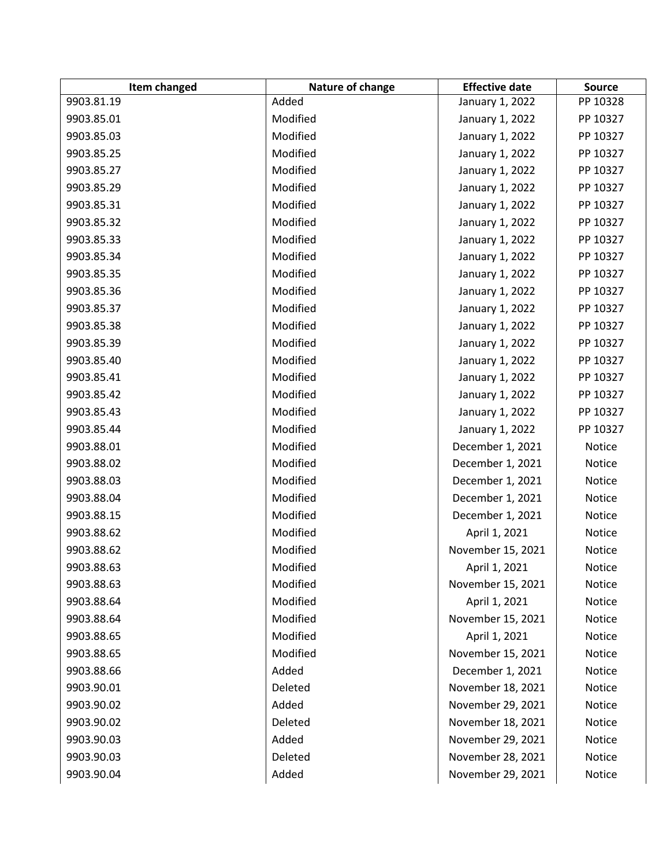| Item changed | Nature of change | <b>Effective date</b> | <b>Source</b> |
|--------------|------------------|-----------------------|---------------|
| 9903.81.19   | Added            | January 1, 2022       | PP 10328      |
| 9903.85.01   | Modified         | January 1, 2022       | PP 10327      |
| 9903.85.03   | Modified         | January 1, 2022       | PP 10327      |
| 9903.85.25   | Modified         | January 1, 2022       | PP 10327      |
| 9903.85.27   | Modified         | January 1, 2022       | PP 10327      |
| 9903.85.29   | Modified         | January 1, 2022       | PP 10327      |
| 9903.85.31   | Modified         | January 1, 2022       | PP 10327      |
| 9903.85.32   | Modified         | January 1, 2022       | PP 10327      |
| 9903.85.33   | Modified         | January 1, 2022       | PP 10327      |
| 9903.85.34   | Modified         | January 1, 2022       | PP 10327      |
| 9903.85.35   | Modified         | January 1, 2022       | PP 10327      |
| 9903.85.36   | Modified         | January 1, 2022       | PP 10327      |
| 9903.85.37   | Modified         | January 1, 2022       | PP 10327      |
| 9903.85.38   | Modified         | January 1, 2022       | PP 10327      |
| 9903.85.39   | Modified         | January 1, 2022       | PP 10327      |
| 9903.85.40   | Modified         | January 1, 2022       | PP 10327      |
| 9903.85.41   | Modified         | January 1, 2022       | PP 10327      |
| 9903.85.42   | Modified         | January 1, 2022       | PP 10327      |
| 9903.85.43   | Modified         | January 1, 2022       | PP 10327      |
| 9903.85.44   | Modified         | January 1, 2022       | PP 10327      |
| 9903.88.01   | Modified         | December 1, 2021      | Notice        |
| 9903.88.02   | Modified         | December 1, 2021      | Notice        |
| 9903.88.03   | Modified         | December 1, 2021      | Notice        |
| 9903.88.04   | Modified         | December 1, 2021      | Notice        |
| 9903.88.15   | Modified         | December 1, 2021      | Notice        |
| 9903.88.62   | Modified         | April 1, 2021         | Notice        |
| 9903.88.62   | Modified         | November 15, 2021     | Notice        |
| 9903.88.63   | Modified         | April 1, 2021         | Notice        |
| 9903.88.63   | Modified         | November 15, 2021     | Notice        |
| 9903.88.64   | Modified         | April 1, 2021         | Notice        |
| 9903.88.64   | Modified         | November 15, 2021     | Notice        |
| 9903.88.65   | Modified         | April 1, 2021         | Notice        |
| 9903.88.65   | Modified         | November 15, 2021     | Notice        |
| 9903.88.66   | Added            | December 1, 2021      | Notice        |
| 9903.90.01   | Deleted          | November 18, 2021     | Notice        |
| 9903.90.02   | Added            | November 29, 2021     | Notice        |
| 9903.90.02   | Deleted          | November 18, 2021     | Notice        |
| 9903.90.03   | Added            | November 29, 2021     | Notice        |
| 9903.90.03   | Deleted          | November 28, 2021     | Notice        |
| 9903.90.04   | Added            | November 29, 2021     | Notice        |